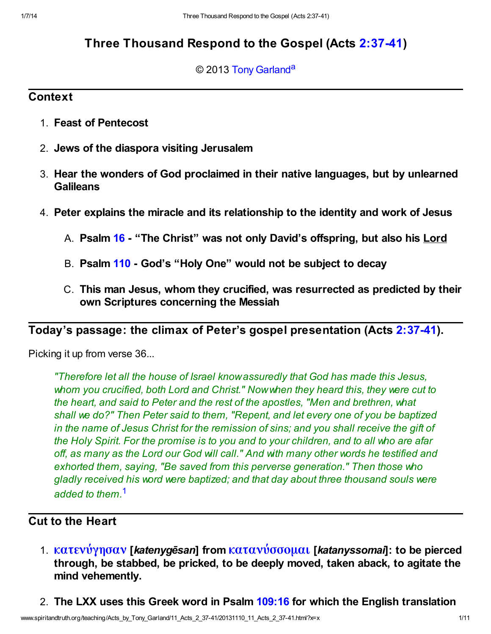# Three Thousand Respond to the Gospel (Acts [2:37-41\)](http://www.spiritandtruth.org/bibles/nasb/b44c002.htm#Acts_C2V37)

#### <span id="page-0-1"></span>© 2013 [Tony Garland](http://www.spiritandtruth.org/id/tg.htm)<sup>[a](#page-10-0)</sup>

## **Context**

- 1. Feast of Pentecost
- 2. Jews of the diaspora visiting Jerusalem
- 3. Hear the wonders of God proclaimed in their native languages, but by unlearned **Galileans**
- 4. Peter explains the miracle and its relationship to the identity and work of Jesus
	- A. Psalm [16](http://www.spiritandtruth.org/bibles/nasb/b19c016.htm#Ps._C16V1)  "The Christ" was not only David's offspring, but also his Lord
	- B. Psalm [110](http://www.spiritandtruth.org/bibles/nasb/b19c110.htm#Ps._C110V1)  God's "Holy One" would not be subject to decay
	- C. This man Jesus, whom they crucified, was resurrected as predicted by their own Scriptures concerning the Messiah

Today's passage: the climax of Peter's gospel presentation (Acts [2:37-41\)](http://www.spiritandtruth.org/bibles/nasb/b44c002.htm#Acts_C2V37).

Picking it up from verse 36...

"Therefore let all the house of Israel know assuredly that God has made this Jesus, whom you crucified, both Lord and Christ." Now when they heard this, they were cut to the heart, and said to Peter and the rest of the apostles, "Men and brethren, what shall we do?" Then Peter said to them, "Repent, and let every one of you be baptized in the name of Jesus Christ for the remission of sins; and you shall receive the gift of the Holy Spirit. For the promise is to you and to your children, and to all who are afar off, as many as the Lord our God will call." And with many other words he testified and exhorted them, saying, "Be saved from this perverse generation." Then those who gladly received his word were baptized; and that day about three thousand souls were added to them.<sup>[1](#page-8-0)</sup>

## <span id="page-0-0"></span>Cut to the Heart

- 1. [κατενύγησαν](http://www.spiritandtruth.org/fontsu/index.htm) [katenygēsan] from [κατανύσσομαι](http://www.spiritandtruth.org/fontsu/index.htm) [katanyssomai]: to be pierced through, be stabbed, be pricked, to be deeply moved, taken aback, to agitate the mind vehemently.
- 2. The LXX uses this Greek word in Psalm [109:16](http://www.spiritandtruth.org/bibles/nasb/b19c109.htm#Ps._C109V16) for which the English translation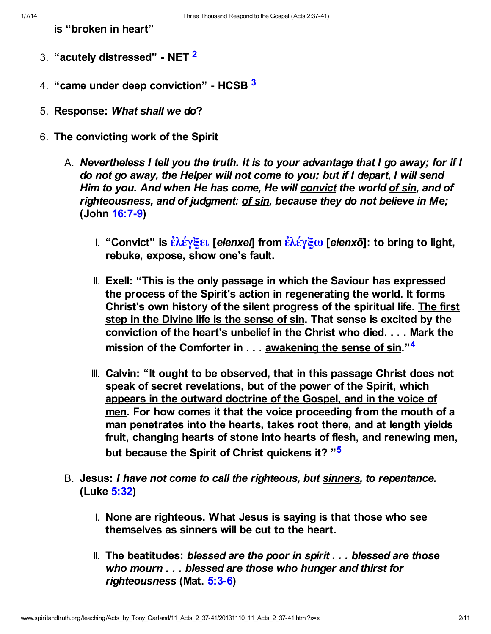<span id="page-1-1"></span><span id="page-1-0"></span>is "broken in heart"

- 3. "acutely distressed" NET <sup>[2](#page-8-1)</sup>
- 4. "came under deep conviction" HCSB [3](#page-8-2)
- 5. Response: What shall we do?
- <span id="page-1-3"></span><span id="page-1-2"></span>6. The convicting work of the Spirit
	- A. Nevertheless I tell you the truth. It is to your advantage that I go away; for if I do not go away, the Helper will not come to you; but if I depart, I will send Him to you. And when He has come, He will convict the world of sin, and of righteousness, and of judgment: of sin, because they do not believe in Me; (John [16:7-9\)](http://www.spiritandtruth.org/bibles/nasb/b43c016.htm#John_C16V7)
		- I. "Convict" is  $\hat{\epsilon} \lambda \hat{\epsilon} \gamma \xi \epsilon \mathbf{I}$  [elenxe] from  $\hat{\epsilon} \lambda \hat{\epsilon} \gamma \xi \omega$  [elenxo]: to bring to light, rebuke, expose, show one's fault.
		- II. Exell: "This is the only passage in which the Saviour has expressed the process of the Spirit's action in regenerating the world. It forms Christ's own history of the silent progress of the spiritual life. The first step in the Divine life is the sense of sin. That sense is excited by the conviction of the heart's unbelief in the Christ who died. . . . Mark the mission of the Comforter in . . . <u>awakening the</u> sense of sin."<sup>[4](#page-8-3)</sup>
		- III. Calvin: "It ought to be observed, that in this passage Christ does not speak of secret revelations, but of the power of the Spirit, which appears in the outward doctrine of the Gospel, and in the voice of men. For how comes it that the voice proceeding from the mouth of a man penetrates into the hearts, takes root there, and at length yields fruit, changing hearts of stone into hearts of flesh, and renewing men, but because the Spirit of Christ quickens it? "<sup>[5](#page-9-0)</sup>
	- B. Jesus: I have not come to call the righteous, but sinners, to repentance. (Luke [5:32](http://www.spiritandtruth.org/bibles/nasb/b42c005.htm#Luke_C5V32))
		- I. None are righteous. What Jesus is saying is that those who see themselves as sinners will be cut to the heart.
		- II. The beatitudes: blessed are the poor in spirit  $\ldots$  blessed are those who mourn . . . blessed are those who hunger and thirst for righteousness (Mat. [5:3-6](http://www.spiritandtruth.org/bibles/nasb/b40c005.htm#Mat._C5V3))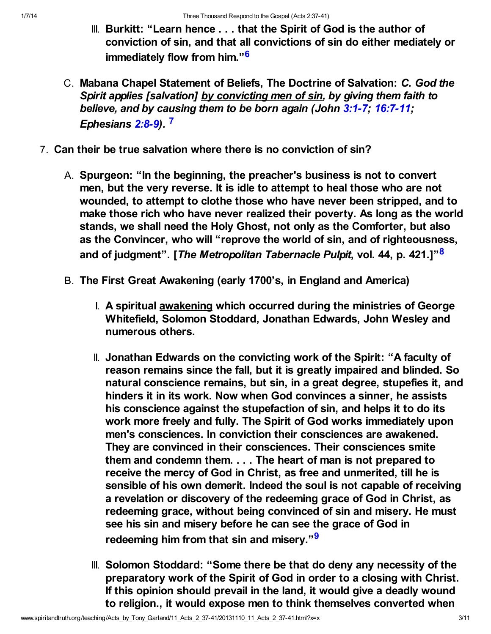- <span id="page-2-0"></span>III. Burkitt: "Learn hence . . . that the Spirit of God is the author of conviction of sin, and that all convictions of sin do either mediately or immediately flow from him."<sup>[6](#page-9-1)</sup>
- <span id="page-2-2"></span><span id="page-2-1"></span>C. Mabana Chapel Statement of Beliefs, The Doctrine of Salvation: C. God the Spirit applies [salvation] by convicting men of sin, by giving them faith to believe, and by causing them to be born again (John [3:1-7](http://www.spiritandtruth.org/bibles/nasb/b43c003.htm#John_C3V1); [16:7-11;](http://www.spiritandtruth.org/bibles/nasb/b43c016.htm#John_C16V7) Ephesians [2:8-9\)](http://www.spiritandtruth.org/bibles/nasb/b49c002.htm#Eph._C2V8). [7](#page-9-2)
- <span id="page-2-3"></span>7. Can their be true salvation where there is no conviction of sin?
	- A. Spurgeon: "In the beginning, the preacher's business is not to convert men, but the very reverse. It is idle to attempt to heal those who are not wounded, to attempt to clothe those who have never been stripped, and to make those rich who have never realized their poverty. As long as the world stands, we shall need the Holy Ghost, not only as the Comforter, but also as the Convincer, who will "reprove the world of sin, and of righteousness, and of judgment". [The Metropolitan Tabernacle Pulpit, vol. 44, p. 421.]"<sup>[8](#page-9-3)</sup>
	- B. The First Great Awakening (early 1700's, in England and America)
		- I. A spiritual awakening which occurred during the ministries of George Whitefield, Solomon Stoddard, Jonathan Edwards, John Wesley and numerous others.
		- II. Jonathan Edwards on the convicting work of the Spirit: "A faculty of reason remains since the fall, but it is greatly impaired and blinded. So natural conscience remains, but sin, in a great degree, stupefies it, and hinders it in its work. Now when God convinces a sinner, he assists his conscience against the stupefaction of sin, and helps it to do its work more freely and fully. The Spirit of God works immediately upon men's consciences. In conviction their consciences are awakened. They are convinced in their consciences. Their consciences smite them and condemn them. . . . The heart of man is not prepared to receive the mercy of God in Christ, as free and unmerited, till he is sensible of his own demerit. Indeed the soul is not capable of receiving a revelation or discovery of the redeeming grace of God in Christ, as redeeming grace, without being convinced of sin and misery. He must see his sin and misery before he can see the grace of God in redeeming him from that sin and misery."<sup>[9](#page-9-4)</sup>
		- III. Solomon Stoddard: "Some there be that do deny any necessity of the preparatory work of the Spirit of God in order to a closing with Christ. If this opinion should prevail in the land, it would give a deadly wound to religion., it would expose men to think themselves converted when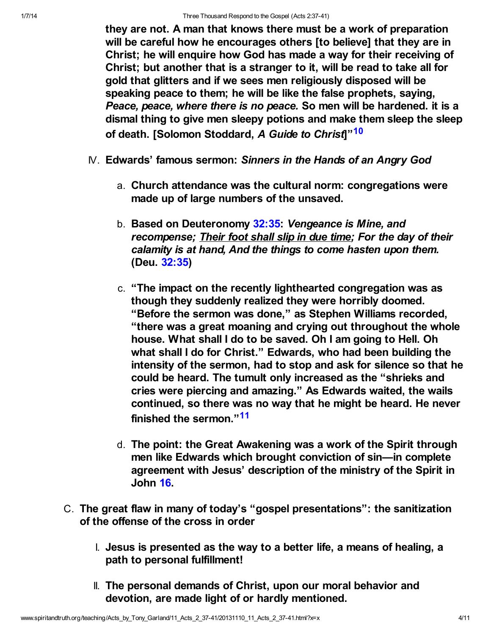they are not. A man that knows there must be a work of preparation will be careful how he encourages others [to believe] that they are in Christ; he will enquire how God has made a way for their receiving of Christ; but another that is a stranger to it, will be read to take all for gold that glitters and if we sees men religiously disposed will be speaking peace to them; he will be like the false prophets, saying, Peace, peace, where there is no peace. So men will be hardened. it is a dismal thing to give men sleepy potions and make them sleep the sleep of death. [Solomon Stoddard, A Guide to Christ<sup>[10](#page-9-5)</sup>

- <span id="page-3-0"></span>IV. Edwards' famous sermon: Sinners in the Hands of an Angry God
	- a. Church attendance was the cultural norm: congregations were made up of large numbers of the unsaved.
	- b. Based on Deuteronomy [32:35](http://www.spiritandtruth.org/bibles/nasb/b05c032.htm#Deu._C32V35): Vengeance is Mine, and recompense; Their foot shall slip in due time; For the day of their calamity is at hand, And the things to come hasten upon them. (Deu. [32:35\)](http://www.spiritandtruth.org/bibles/nasb/b05c032.htm#Deu._C32V35)
	- c. "The impact on the recently lighthearted congregation was as though they suddenly realized they were horribly doomed. "Before the sermon was done," as Stephen Williams recorded, "there was a great moaning and crying out throughout the whole house. What shall I do to be saved. Oh I am going to Hell. Oh what shall I do for Christ." Edwards, who had been building the intensity of the sermon, had to stop and ask for silence so that he could be heard. The tumult only increased as the "shrieks and cries were piercing and amazing." As Edwards waited, the wails continued, so there was no way that he might be heard. He never finished the sermon."<sup>[11](#page-9-6)</sup>
	- d. The point: the Great Awakening was a work of the Spirit through men like Edwards which brought conviction of sin—in complete agreement with Jesus' description of the ministry of the Spirit in John [16](http://www.spiritandtruth.org/bibles/nasb/b43c016.htm#John_C16V1).
- <span id="page-3-1"></span>C. The great flaw in many of today's "gospel presentations": the sanitization of the offense of the cross in order
	- I. Jesus is presented as the way to a better life, a means of healing, a path to personal fulfillment!
	- II. The personal demands of Christ, upon our moral behavior and devotion, are made light of or hardly mentioned.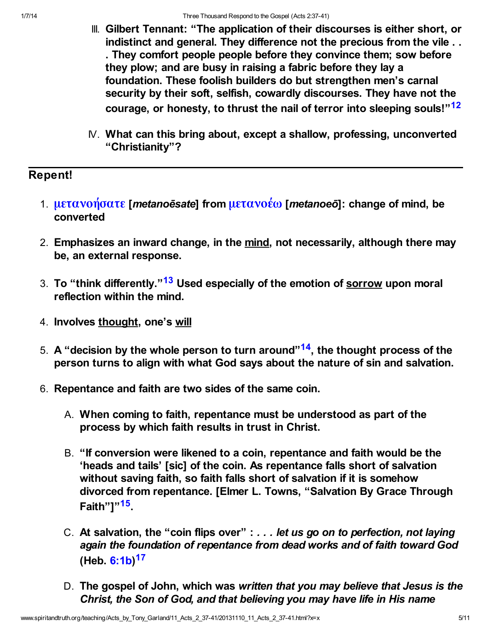- III. Gilbert Tennant: "The application of their discourses is either short, or indistinct and general. They difference not the precious from the vile . . . They comfort people people before they convince them; sow before they plow; and are busy in raising a fabric before they lay a foundation. These foolish builders do but strengthen men's carnal security by their soft, selfish, cowardly discourses. They have not the courage, or honesty, to thrust the nail of terror into sleeping souls!"<sup>[12](#page-9-7)</sup>
- <span id="page-4-0"></span>IV. What can this bring about, except a shallow, professing, unconverted "Christianity"?

## Repent!

- 1. [μετανοήσατε](http://www.spiritandtruth.org/fontsu/index.htm) [metanoesate] from [μετανοέω](http://www.spiritandtruth.org/fontsu/index.htm) [metanoeō]: change of mind, be converted
- 2. Emphasizes an inward change, in the mind, not necessarily, although there may be, an external response.
- <span id="page-4-1"></span>3. To "think differently."<sup>[13](#page-9-8)</sup> Used especially of the emotion of sorrow upon moral reflection within the mind.
- 4. Involves thought, one's will
- <span id="page-4-2"></span>5. A "decision by the whole person to turn around"<sup>[14](#page-9-9)</sup>, the thought process of the person turns to align with what God says about the nature of sin and salvation.
- <span id="page-4-4"></span><span id="page-4-3"></span>6. Repentance and faith are two sides of the same coin.
	- A. When coming to faith, repentance must be understood as part of the process by which faith results in trust in Christ.
	- B. "If conversion were likened to a coin, repentance and faith would be the 'heads and tails' [sic] of the coin. As repentance falls short of salvation without saving faith, so faith falls short of salvation if it is somehow divorced from repentance. [Elmer L. Towns, "Salvation By Grace Through Faith"]"<sup>[15](#page-9-10)</sup>
	- C. At salvation, the "coin flips over" : . . . let us go on to perfection, not laying again the foundation of repentance from dead works and of faith toward God (Heb. [6:1b](http://www.spiritandtruth.org/bibles/nasb/b58c006.htm#Heb._C6V1))<sup>[17](#page-9-11)</sup>
	- D. The gospel of John, which was written that you may believe that Jesus is the Christ, the Son of God, and that believing you may have life in His name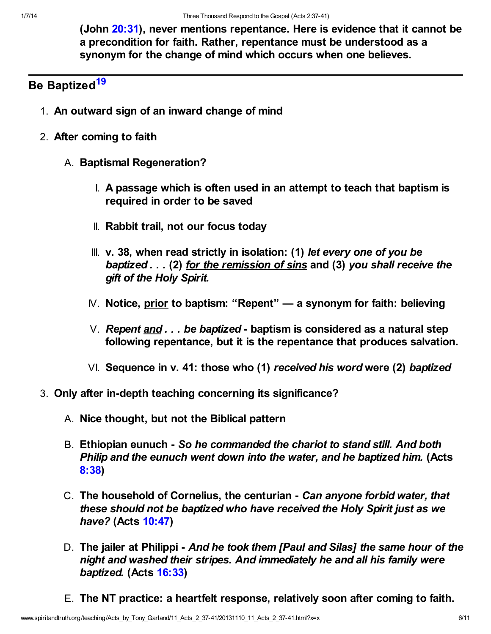<span id="page-5-0"></span>(John [20:31](http://www.spiritandtruth.org/bibles/nasb/b43c020.htm#John_C20V31)), never mentions repentance. Here is evidence that it cannot be a precondition for faith. Rather, repentance must be understood as a synonym for the change of mind which occurs when one believes.

# Be Baptized<sup>[19](#page-9-12)</sup>

- 1. An outward sign of an inward change of mind
- 2. After coming to faith
	- A. Baptismal Regeneration?
		- I. A passage which is often used in an attempt to teach that baptism is required in order to be saved
		- II. Rabbit trail, not our focus today
		- III. v. 38, when read strictly in isolation: (1) let every one of you be baptized . . . (2) for the remission of sins and (3) you shall receive the gift of the Holy Spirit.
		- IV. Notice, prior to baptism: "Repent" a synonym for faith: believing
		- V. Repent  $and \ldots$  be baptized baptism is considered as a natural step following repentance, but it is the repentance that produces salvation.
		- VI. Sequence in v. 41: those who (1) received his word were (2) baptized
- 3. Only after in-depth teaching concerning its significance?
	- A. Nice thought, but not the Biblical pattern
	- B. Ethiopian eunuch So he commanded the chariot to stand still. And both Philip and the eunuch went down into the water, and he baptized him. (Acts [8:38\)](http://www.spiritandtruth.org/bibles/nasb/b44c008.htm#Acts_C8V38)
	- C. The household of Cornelius, the centurian Can anyone forbid water, that these should not be baptized who have received the Holy Spirit just as we have? (Acts [10:47\)](http://www.spiritandtruth.org/bibles/nasb/b44c010.htm#Acts_C10V47)
	- D. The jailer at Philippi And he took them [Paul and Silas] the same hour of the night and washed their stripes. And immediately he and all his family were baptized. (Acts [16:33](http://www.spiritandtruth.org/bibles/nasb/b44c016.htm#Acts_C16V33))
	- E. The NT practice: a heartfelt response, relatively soon after coming to faith.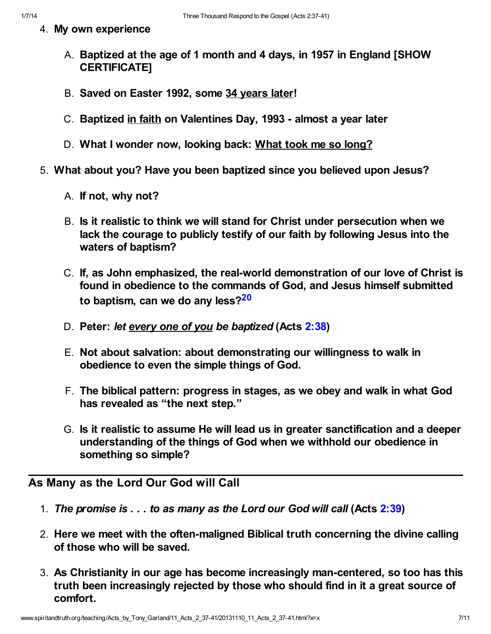- - 4. My own experience
		- A. Baptized at the age of 1 month and 4 days, in 1957 in England [SHOW CERTIFICATE]
		- B. Saved on Easter 1992, some 34 years later!
		- C. Baptized in faith on Valentines Day, 1993 almost a year later
		- D. What I wonder now, looking back: What took me so long?
	- 5. What about you? Have you been baptized since you believed upon Jesus?
		- A. If not, why not?
		- B. Is it realistic to think we will stand for Christ under persecution when we lack the courage to publicly testify of our faith by following Jesus into the waters of baptism?
		- C. If, as John emphasized, the real-world demonstration of our love of Christ is found in obedience to the commands of God, and Jesus himself submitted to baptism, can we do any less? $20$
		- D. Peter: let every one of you be baptized (Acts [2:38](http://www.spiritandtruth.org/bibles/nasb/b44c002.htm#Acts_C2V38))
		- E. Not about salvation: about demonstrating our willingness to walk in obedience to even the simple things of God.
		- F. The biblical pattern: progress in stages, as we obey and walk in what God has revealed as "the next step."
		- G. Is it realistic to assume He will lead us in greater sanctification and a deeper understanding of the things of God when we withhold our obedience in something so simple?

# <span id="page-6-0"></span>As Many as the Lord Our God will Call

- 1. The promise is  $\dots$  to as many as the Lord our God will call (Acts [2:39\)](http://www.spiritandtruth.org/bibles/nasb/b44c002.htm#Acts_C2V39)
- 2. Here we meet with the often-maligned Biblical truth concerning the divine calling of those who will be saved.
- 3. As Christianity in our age has become increasingly man-centered, so too has this truth been increasingly rejected by those who should find in it a great source of comfort.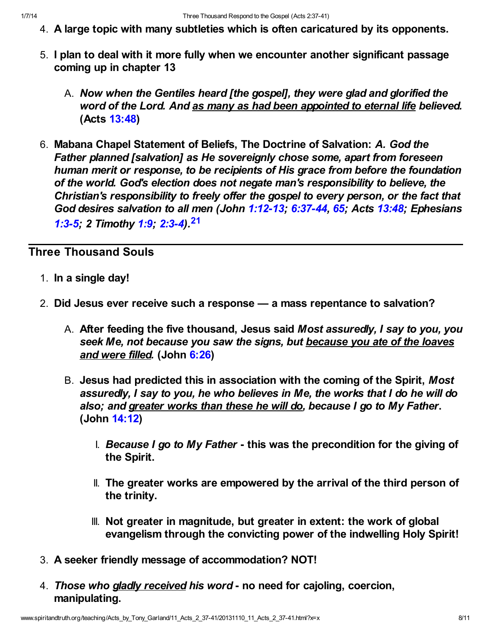- 4. A large topic with many subtleties which is often caricatured by its opponents.
- 5. I plan to deal with it more fully when we encounter another significant passage coming up in chapter 13
	- A. Now when the Gentiles heard [the gospel], they were glad and glorified the word of the Lord. And as many as had been appointed to eternal life believed. (Acts [13:48\)](http://www.spiritandtruth.org/bibles/nasb/b44c013.htm#Acts_C13V48)
- 6. Mabana Chapel Statement of Beliefs, The Doctrine of Salvation: A. God the Father planned [salvation] as He sovereignly chose some, apart from foreseen human merit or response, to be recipients of His grace from before the foundation of the world. God's election does not negate man's responsibility to believe, the Christian's responsibility to freely offer the gospel to every person, or the fact that God desires salvation to all men (John [1:12-13](http://www.spiritandtruth.org/bibles/nasb/b43c001.htm#John_C1V12); [6:37-44,](http://www.spiritandtruth.org/bibles/nasb/b43c006.htm#John_C6V37) [65](http://www.spiritandtruth.org/bibles/nasb/b43c006.htm#John_C6V65); Acts [13:48](http://www.spiritandtruth.org/bibles/nasb/b44c013.htm#Acts_C13V48); Ephesians [1:3-5;](http://www.spiritandtruth.org/bibles/nasb/b49c001.htm#Eph._C1V3) 2 Timothy [1:9;](http://www.spiritandtruth.org/bibles/nasb/b55c001.htm#2Ti._C1V9) [2:3-4](http://www.spiritandtruth.org/bibles/nasb/b55c002.htm#2Ti._C2V3))<sup>[21](#page-9-14)</sup>

# Three Thousand Souls

- <span id="page-7-0"></span>1. In a single day!
- 2. Did Jesus ever receive such a response a mass repentance to salvation?
	- A. After feeding the five thousand, Jesus said Most assuredly, I say to you, you seek Me, not because you saw the signs, but because you ate of the loaves and were filled. (John [6:26\)](http://www.spiritandtruth.org/bibles/nasb/b43c006.htm#John_C6V26)
	- B. Jesus had predicted this in association with the coming of the Spirit, Most assuredly, I say to you, he who believes in Me, the works that I do he will do also; and greater works than these he will do, because I go to My Father. (John [14:12](http://www.spiritandtruth.org/bibles/nasb/b43c014.htm#John_C14V12))
		- I. Because I go to My Father this was the precondition for the giving of the Spirit.
		- II. The greater works are empowered by the arrival of the third person of the trinity.
		- III. Not greater in magnitude, but greater in extent: the work of global evangelism through the convicting power of the indwelling Holy Spirit!
- 3. A seeker friendly message of accommodation? NOT!
- 4. Those who gladly received his word no need for cajoling, coercion, manipulating.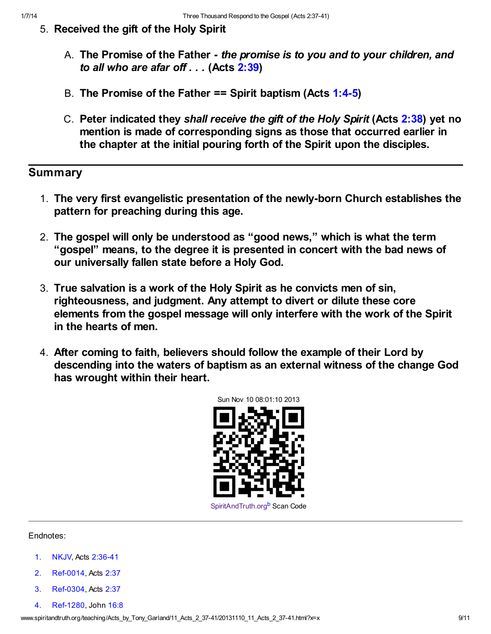- 5. Received the gift of the Holy Spirit
	- A. The Promise of the Father the promise is to you and to your children, and to all who are afar off  $\dots$  (Acts [2:39\)](http://www.spiritandtruth.org/bibles/nasb/b44c002.htm#Acts_C2V39)
	- B. The Promise of the Father == Spirit baptism (Acts [1:4-5](http://www.spiritandtruth.org/bibles/nasb/b44c001.htm#Acts_C1V4))
	- C. Peter indicated they shall receive the gift of the Holy Spirit (Acts [2:38](http://www.spiritandtruth.org/bibles/nasb/b44c002.htm#Acts_C2V38)) yet no mention is made of corresponding signs as those that occurred earlier in the chapter at the initial pouring forth of the Spirit upon the disciples.

## Summary

- 1. The very first evangelistic presentation of the newly-born Church establishes the pattern for preaching during this age.
- 2. The gospel will only be understood as "good news," which is what the term "gospel" means, to the degree it is presented in concert with the bad news of our universally fallen state before a Holy God.
- 3. True salvation is a work of the Holy Spirit as he convicts men of sin, righteousness, and judgment. Any attempt to divert or dilute these core elements from the gospel message will only interfere with the work of the Spirit in the hearts of men.
- 4. After coming to faith, believers should follow the example of their Lord by descending into the waters of baptism as an external witness of the change God has wrought within their heart.

<span id="page-8-4"></span>

#### Endnotes:

- <span id="page-8-0"></span>[1.](#page-0-0) NKJV, Acts [2:36-41](http://www.spiritandtruth.org/bibles/nasb/b44c002.htm#Acts_C2V36)
- <span id="page-8-1"></span>[2.](#page-1-0) Ref-0014, Acts [2:37](http://www.spiritandtruth.org/bibles/nasb/b44c002.htm#Acts_C2V37)
- <span id="page-8-2"></span>[3.](#page-1-1) Ref-0304, Acts [2:37](http://www.spiritandtruth.org/bibles/nasb/b44c002.htm#Acts_C2V37)
- <span id="page-8-3"></span>[4.](#page-1-2) Ref-1280, John [16:8](http://www.spiritandtruth.org/bibles/nasb/b43c016.htm#John_C16V8)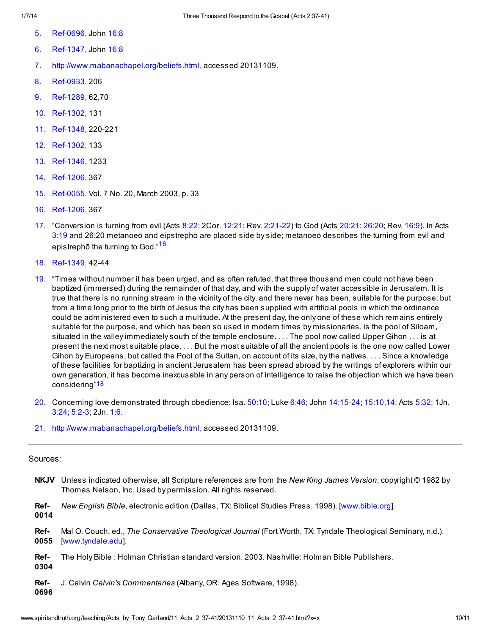- <span id="page-9-0"></span>[5.](#page-1-3) Ref-0696, John [16:8](http://www.spiritandtruth.org/bibles/nasb/b43c016.htm#John_C16V8)
- <span id="page-9-1"></span>[6.](#page-2-0) Ref-1347, John [16:8](http://www.spiritandtruth.org/bibles/nasb/b43c016.htm#John_C16V8)
- <span id="page-9-2"></span>[7.](#page-2-1)<http://www.mabanachapel.org/beliefs.html>, accessed 20131109.
- <span id="page-9-3"></span>[8.](#page-2-2) Ref-0933, 206
- <span id="page-9-4"></span>[9.](#page-2-3) Ref-1289, 62,70
- <span id="page-9-5"></span>[10.](#page-3-0) Ref-1302, 131
- <span id="page-9-6"></span>[11.](#page-3-1) Ref-1348, 220-221
- <span id="page-9-7"></span>[12.](#page-4-0) Ref-1302, 133
- <span id="page-9-8"></span>[13.](#page-4-1) Ref-1346, 1233
- <span id="page-9-9"></span>[14.](#page-4-2) Ref-1206, 367
- <span id="page-9-10"></span>[15.](#page-4-3) Ref-0055, Vol. 7 No. 20, March 2003, p. 33
- <span id="page-9-16"></span>[16.](#page-9-15) Ref-1206, 367
- <span id="page-9-15"></span><span id="page-9-11"></span>[17.](#page-4-4) "Conversion is turning from evil (Acts [8:22;](http://www.spiritandtruth.org/bibles/nasb/b44c008.htm#Acts_C8V22) 2Cor. [12:21;](http://www.spiritandtruth.org/bibles/nasb/b47c012.htm#2Cor._C12V21) Rev. [2:21-22\)](http://www.spiritandtruth.org/bibles/nasb/b66c002.htm#Rev._C2V21) to God (Acts [20:21;](http://www.spiritandtruth.org/bibles/nasb/b44c020.htm#Acts_C20V21) [26:20](http://www.spiritandtruth.org/bibles/nasb/b44c026.htm#Acts_C26V20); Rev. [16:9\)](http://www.spiritandtruth.org/bibles/nasb/b66c016.htm#Rev._C16V9). In Acts [3:19](http://www.spiritandtruth.org/bibles/nasb/b44c003.htm#Acts_C3V19) and 26:20 metanoeō and eipstrephō are placed side by side; metanoeō describes the turning from evil and epistrephō the turning to God."[16](#page-9-16)
- <span id="page-9-18"></span>[18.](#page-9-17) Ref-1349, 42-44
- <span id="page-9-12"></span>[19.](#page-5-0) "Times without number it has been urged, and as often refuted, that three thousand men could not have been baptized (immersed) during the remainder of that day, and with the supply of water accessible in Jerusalem. It is true that there is no running stream in the vicinity of the city, and there never has been, suitable for the purpose; but from a time long prior to the birth of Jesus the city has been supplied with artificial pools in which the ordinance could be administered even to such a multitude. At the present day, the only one of these which remains entirely suitable for the purpose, and which has been so used in modern times by missionaries, is the pool of Siloam, situated in the valley immediately south of the temple enclosure. . . . The pool now called Upper Gihon . . . is at present the next most suitable place. . . . But the most suitable of all the ancient pools is the one now called Lower Gihon by Europeans, but called the Pool of the Sultan, on account of its size, by the natives. . . . Since a knowledge of these facilities for baptizing in ancient Jerusalem has been spread abroad by the writings of explorers within our own generation, it has become inexcusable in any person of intelligence to raise the objection which we have been considering"[18](#page-9-18)
- <span id="page-9-17"></span><span id="page-9-13"></span>[20.](#page-6-0) Concerning love demonstrated through obedience: Isa. [50:10](http://www.spiritandtruth.org/bibles/nasb/b23c050.htm#Isa._C50V10); Luke [6:46](http://www.spiritandtruth.org/bibles/nasb/b42c006.htm#Luke_C6V46); John [14:15-24](http://www.spiritandtruth.org/bibles/nasb/b43c014.htm#John_C14V15); [15:10](http://www.spiritandtruth.org/bibles/nasb/b43c015.htm#John_C15V10)[,14;](http://www.spiritandtruth.org/bibles/nasb/b43c015.htm#John_C15V14) Acts [5:32;](http://www.spiritandtruth.org/bibles/nasb/b44c005.htm#Acts_C5V32) 1Jn. [3:24](http://www.spiritandtruth.org/bibles/nasb/b62c003.htm#1Jn._C3V24); [5:2-3](http://www.spiritandtruth.org/bibles/nasb/b62c005.htm#1Jn._C5V2); 2Jn. [1:6.](http://www.spiritandtruth.org/bibles/nasb/b63c001.htm#2Jn._C1V6)
- <span id="page-9-14"></span>[21.](#page-7-0)<http://www.mabanachapel.org/beliefs.html>, accessed 20131109.

#### Sources:

NKJV Unless indicated otherwise, all Scripture references are from the New King James Version, copyright © 1982 by Thomas Nelson, Inc. Used by permission. All rights reserved.

Ref-0014 New English Bible, electronic edition (Dallas, TX: Biblical Studies Press, 1998). [\[www.bible.org\]](http://www.bible.org/).

- Ref-0055 Mal O. Couch, ed., The Conservative Theological Journal (Fort Worth, TX: Tyndale Theological Seminary, n.d.). [[www.tyndale.edu](http://www.tyndale.edu/)].
- Ref-0304 The Holy Bible : Holman Christian standard version. 2003. Nashville: Holman Bible Publishers.

Ref-J. Calvin Calvin's Commentaries (Albany, OR: Ages Software, 1998).

0696